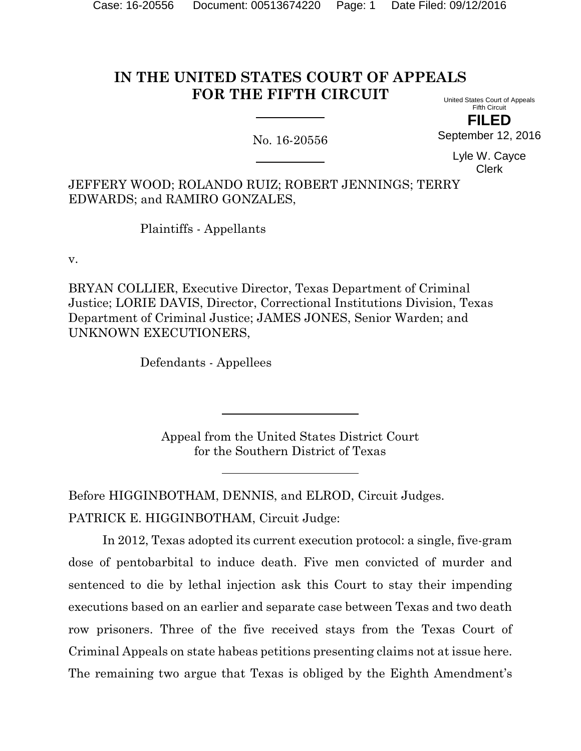# **IN THE UNITED STATES COURT OF APPEALS FOR THE FIFTH CIRCUIT**

No. 16-20556

United States Court of Appeals Fifth Circuit **FILED**

September 12, 2016

Lyle W. Cayce Clerk

JEFFERY WOOD; ROLANDO RUIZ; ROBERT JENNINGS; TERRY EDWARDS; and RAMIRO GONZALES,

Plaintiffs - Appellants

v.

BRYAN COLLIER, Executive Director, Texas Department of Criminal Justice; LORIE DAVIS, Director, Correctional Institutions Division, Texas Department of Criminal Justice; JAMES JONES, Senior Warden; and UNKNOWN EXECUTIONERS,

Defendants - Appellees

Appeal from the United States District Court for the Southern District of Texas

Before HIGGINBOTHAM, DENNIS, and ELROD, Circuit Judges. PATRICK E. HIGGINBOTHAM, Circuit Judge:

In 2012, Texas adopted its current execution protocol: a single, five-gram dose of pentobarbital to induce death. Five men convicted of murder and sentenced to die by lethal injection ask this Court to stay their impending executions based on an earlier and separate case between Texas and two death row prisoners. Three of the five received stays from the Texas Court of Criminal Appeals on state habeas petitions presenting claims not at issue here. The remaining two argue that Texas is obliged by the Eighth Amendment's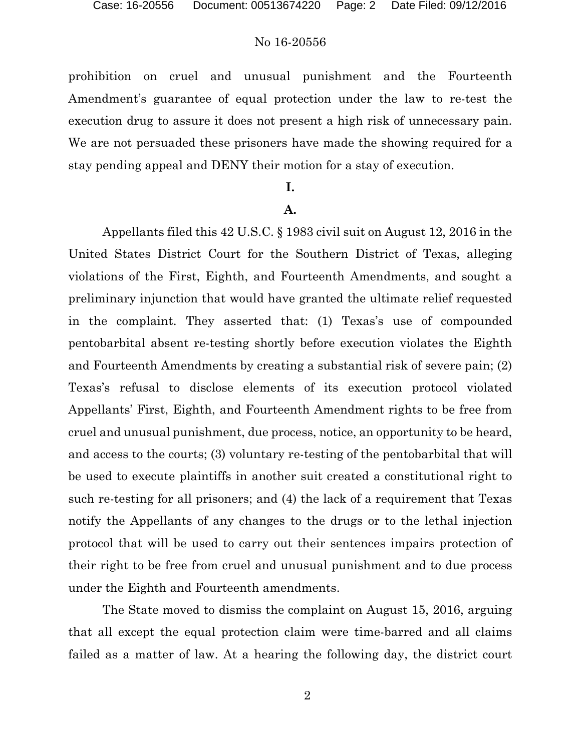prohibition on cruel and unusual punishment and the Fourteenth Amendment's guarantee of equal protection under the law to re-test the execution drug to assure it does not present a high risk of unnecessary pain. We are not persuaded these prisoners have made the showing required for a stay pending appeal and DENY their motion for a stay of execution.

### **I.**

#### **A.**

Appellants filed this 42 U.S.C. § 1983 civil suit on August 12, 2016 in the United States District Court for the Southern District of Texas, alleging violations of the First, Eighth, and Fourteenth Amendments, and sought a preliminary injunction that would have granted the ultimate relief requested in the complaint. They asserted that: (1) Texas's use of compounded pentobarbital absent re-testing shortly before execution violates the Eighth and Fourteenth Amendments by creating a substantial risk of severe pain; (2) Texas's refusal to disclose elements of its execution protocol violated Appellants' First, Eighth, and Fourteenth Amendment rights to be free from cruel and unusual punishment, due process, notice, an opportunity to be heard, and access to the courts; (3) voluntary re-testing of the pentobarbital that will be used to execute plaintiffs in another suit created a constitutional right to such re-testing for all prisoners; and (4) the lack of a requirement that Texas notify the Appellants of any changes to the drugs or to the lethal injection protocol that will be used to carry out their sentences impairs protection of their right to be free from cruel and unusual punishment and to due process under the Eighth and Fourteenth amendments.

The State moved to dismiss the complaint on August 15, 2016, arguing that all except the equal protection claim were time-barred and all claims failed as a matter of law. At a hearing the following day, the district court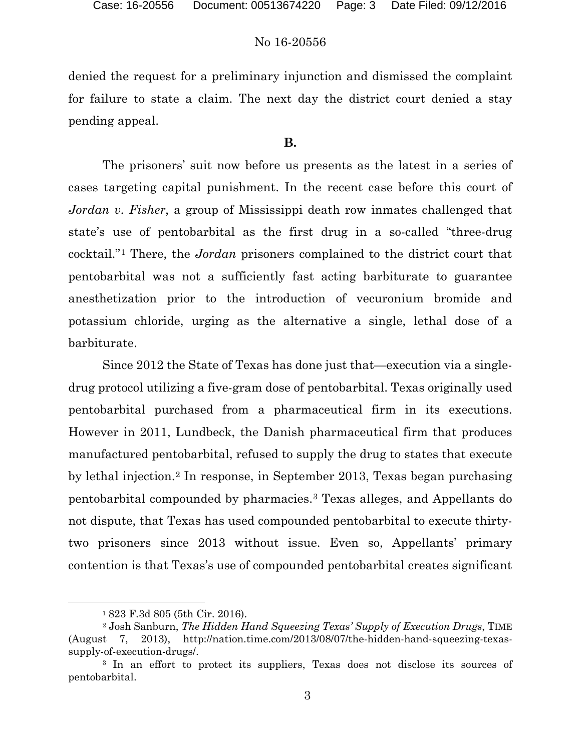denied the request for a preliminary injunction and dismissed the complaint for failure to state a claim. The next day the district court denied a stay pending appeal.

### **B.**

The prisoners' suit now before us presents as the latest in a series of cases targeting capital punishment. In the recent case before this court of *Jordan v. Fisher*, a group of Mississippi death row inmates challenged that state's use of pentobarbital as the first drug in a so-called "three-drug cocktail."[1](#page-2-0) There, the *Jordan* prisoners complained to the district court that pentobarbital was not a sufficiently fast acting barbiturate to guarantee anesthetization prior to the introduction of vecuronium bromide and potassium chloride, urging as the alternative a single, lethal dose of a barbiturate.

Since 2012 the State of Texas has done just that—execution via a singledrug protocol utilizing a five-gram dose of pentobarbital. Texas originally used pentobarbital purchased from a pharmaceutical firm in its executions. However in 2011, Lundbeck, the Danish pharmaceutical firm that produces manufactured pentobarbital, refused to supply the drug to states that execute by lethal injection.[2](#page-2-1) In response, in September 2013, Texas began purchasing pentobarbital compounded by pharmacies.[3](#page-2-2) Texas alleges, and Appellants do not dispute, that Texas has used compounded pentobarbital to execute thirtytwo prisoners since 2013 without issue. Even so, Appellants' primary contention is that Texas's use of compounded pentobarbital creates significant

 <sup>1</sup> 823 F.3d 805 (5th Cir. 2016).

<span id="page-2-1"></span><span id="page-2-0"></span><sup>2</sup> Josh Sanburn, *The Hidden Hand Squeezing Texas' Supply of Execution Drugs*, TIME (August 7, 2013), http://nation.time.com/2013/08/07/the-hidden-hand-squeezing-texassupply-of-execution-drugs/.

<span id="page-2-2"></span><sup>3</sup> In an effort to protect its suppliers, Texas does not disclose its sources of pentobarbital.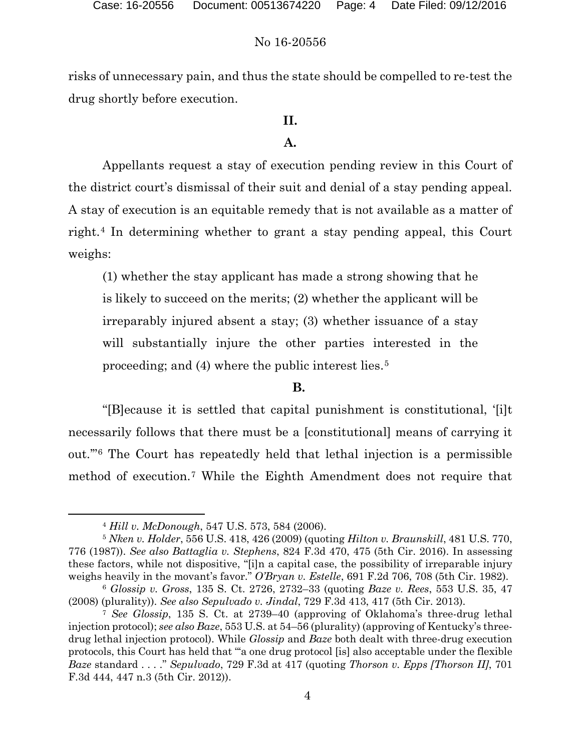risks of unnecessary pain, and thus the state should be compelled to re-test the drug shortly before execution.

## **II.**

## **A.**

Appellants request a stay of execution pending review in this Court of the district court's dismissal of their suit and denial of a stay pending appeal. A stay of execution is an equitable remedy that is not available as a matter of right.[4](#page-3-0) In determining whether to grant a stay pending appeal, this Court weighs:

(1) whether the stay applicant has made a strong showing that he is likely to succeed on the merits; (2) whether the applicant will be irreparably injured absent a stay; (3) whether issuance of a stay will substantially injure the other parties interested in the proceeding; and (4) where the public interest lies.[5](#page-3-1)

### **B.**

"[B]ecause it is settled that capital punishment is constitutional, '[i]t necessarily follows that there must be a [constitutional] means of carrying it out.'"[6](#page-3-2) The Court has repeatedly held that lethal injection is a permissible method of execution.[7](#page-3-3) While the Eighth Amendment does not require that

 <sup>4</sup> *Hill v. McDonough*, 547 U.S. 573, 584 (2006).

<span id="page-3-1"></span><span id="page-3-0"></span><sup>5</sup> *Nken v. Holder*, 556 U.S. 418, 426 (2009) (quoting *Hilton v. Braunskill*, 481 U.S. 770, 776 (1987)). *See also Battaglia v. Stephens*, 824 F.3d 470, 475 (5th Cir. 2016). In assessing these factors, while not dispositive, "[i]n a capital case, the possibility of irreparable injury weighs heavily in the movant's favor." *O'Bryan v. Estelle*, 691 F.2d 706, 708 (5th Cir. 1982).

<span id="page-3-2"></span><sup>6</sup> *Glossip v. Gross*, 135 S. Ct. 2726, 2732–33 (quoting *Baze v. Rees*, 553 U.S. 35, 47 (2008) (plurality)). *See also Sepulvado v. Jindal*, 729 F.3d 413, 417 (5th Cir. 2013).

<span id="page-3-3"></span><sup>7</sup> *See Glossip*, 135 S. Ct. at 2739–40 (approving of Oklahoma's three-drug lethal injection protocol); *see also Baze*, 553 U.S. at 54–56 (plurality) (approving of Kentucky's threedrug lethal injection protocol). While *Glossip* and *Baze* both dealt with three-drug execution protocols, this Court has held that "'a one drug protocol [is] also acceptable under the flexible *Baze* standard . . . ." *Sepulvado*, 729 F.3d at 417 (quoting *Thorson v. Epps [Thorson II]*, 701 F.3d 444, 447 n.3 (5th Cir. 2012)).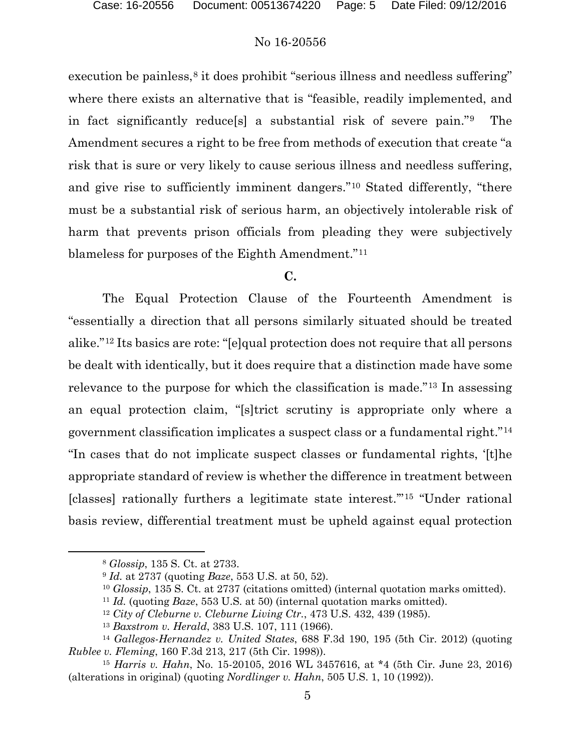execution be painless,<sup>[8](#page-4-0)</sup> it does prohibit "serious illness and needless suffering" where there exists an alternative that is "feasible, readily implemented, and in fact significantly reduce[s] a substantial risk of severe pain."[9](#page-4-1) The Amendment secures a right to be free from methods of execution that create "a risk that is sure or very likely to cause serious illness and needless suffering, and give rise to sufficiently imminent dangers."[10](#page-4-2) Stated differently, "there must be a substantial risk of serious harm, an objectively intolerable risk of harm that prevents prison officials from pleading they were subjectively blameless for purposes of the Eighth Amendment."[11](#page-4-3)

### **C.**

The Equal Protection Clause of the Fourteenth Amendment is "essentially a direction that all persons similarly situated should be treated alike."[12](#page-4-4) Its basics are rote: "[e]qual protection does not require that all persons be dealt with identically, but it does require that a distinction made have some relevance to the purpose for which the classification is made."[13](#page-4-5) In assessing an equal protection claim, "[s]trict scrutiny is appropriate only where a government classification implicates a suspect class or a fundamental right."[14](#page-4-6) "In cases that do not implicate suspect classes or fundamental rights, '[t]he appropriate standard of review is whether the difference in treatment between [classes] rationally furthers a legitimate state interest.'"[15](#page-4-7) "Under rational basis review, differential treatment must be upheld against equal protection

<span id="page-4-0"></span> <sup>8</sup> *Glossip*, 135 S. Ct. at 2733.

<sup>9</sup> *Id.* at 2737 (quoting *Baze*, 553 U.S. at 50, 52).

<sup>10</sup> *Glossip*, 135 S. Ct. at 2737 (citations omitted) (internal quotation marks omitted).

<sup>11</sup> *Id.* (quoting *Baze*, 553 U.S. at 50) (internal quotation marks omitted).

<sup>12</sup> *City of Cleburne v. Cleburne Living Ctr.*, 473 U.S. 432, 439 (1985).

<sup>13</sup> *Baxstrom v. Herald*, 383 U.S. 107, 111 (1966).

<span id="page-4-6"></span><span id="page-4-5"></span><span id="page-4-4"></span><span id="page-4-3"></span><span id="page-4-2"></span><span id="page-4-1"></span><sup>14</sup> *Gallegos-Hernandez v. United States*, 688 F.3d 190, 195 (5th Cir. 2012) (quoting *Rublee v. Fleming*, 160 F.3d 213, 217 (5th Cir. 1998)).

<span id="page-4-7"></span><sup>15</sup> *Harris v. Hahn*, No. 15-20105, 2016 WL 3457616, at \*4 (5th Cir. June 23, 2016) (alterations in original) (quoting *Nordlinger v. Hahn*, 505 U.S. 1, 10 (1992)).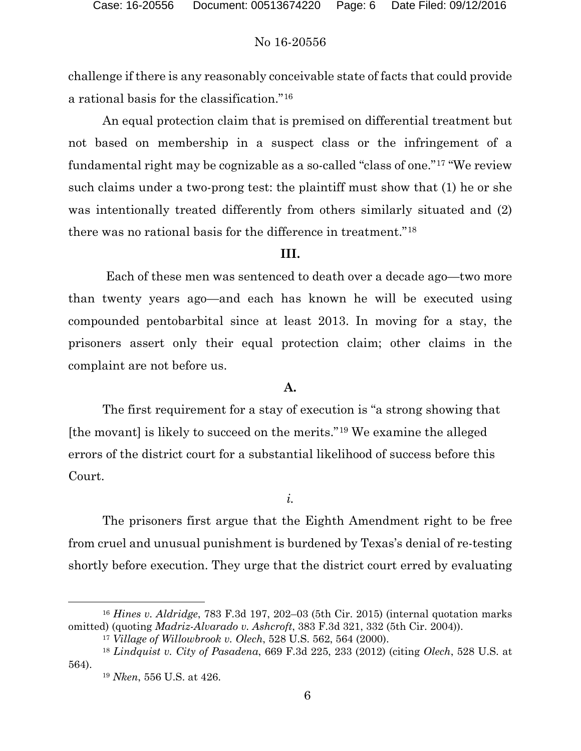challenge if there is any reasonably conceivable state of facts that could provide a rational basis for the classification."[16](#page-5-0)

An equal protection claim that is premised on differential treatment but not based on membership in a suspect class or the infringement of a fundamental right may be cognizable as a so-called "class of one."[17](#page-5-1) "We review such claims under a two-prong test: the plaintiff must show that (1) he or she was intentionally treated differently from others similarly situated and (2) there was no rational basis for the difference in treatment."[18](#page-5-2)

#### **III.**

Each of these men was sentenced to death over a decade ago—two more than twenty years ago—and each has known he will be executed using compounded pentobarbital since at least 2013. In moving for a stay, the prisoners assert only their equal protection claim; other claims in the complaint are not before us.

#### **A.**

The first requirement for a stay of execution is "a strong showing that [the movant] is likely to succeed on the merits."[19](#page-5-3) We examine the alleged errors of the district court for a substantial likelihood of success before this Court.

### *i.*

The prisoners first argue that the Eighth Amendment right to be free from cruel and unusual punishment is burdened by Texas's denial of re-testing shortly before execution. They urge that the district court erred by evaluating

<span id="page-5-0"></span> <sup>16</sup> *Hines v. Aldridge*, 783 F.3d 197, 202–03 (5th Cir. 2015) (internal quotation marks omitted) (quoting *Madriz-Alvarado v. Ashcroft*, 383 F.3d 321, 332 (5th Cir. 2004)).

<sup>17</sup> *Village of Willowbrook v. Olech*, 528 U.S. 562, 564 (2000).

<span id="page-5-3"></span><span id="page-5-2"></span><span id="page-5-1"></span><sup>18</sup> *Lindquist v. City of Pasadena*, 669 F.3d 225, 233 (2012) (citing *Olech*, 528 U.S. at 564).

<sup>19</sup> *Nken*, 556 U.S. at 426.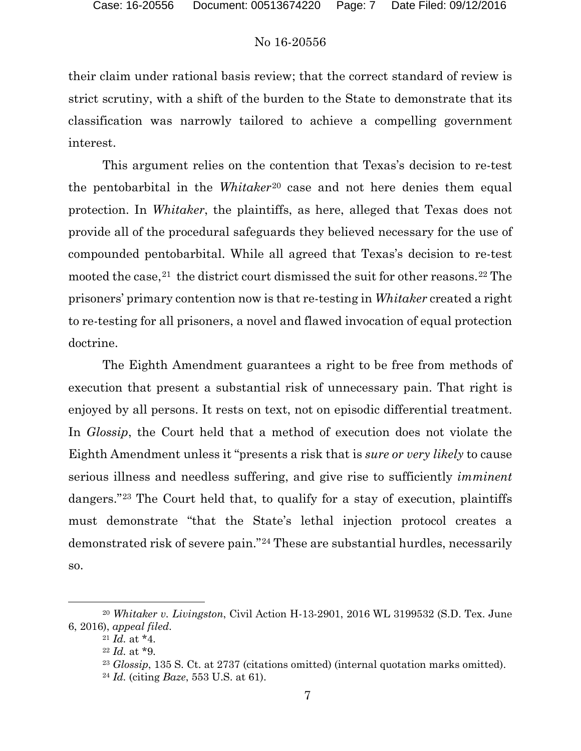their claim under rational basis review; that the correct standard of review is strict scrutiny, with a shift of the burden to the State to demonstrate that its classification was narrowly tailored to achieve a compelling government interest.

This argument relies on the contention that Texas's decision to re-test the pentobarbital in the *Whitaker*[20](#page-6-0) case and not here denies them equal protection. In *Whitaker*, the plaintiffs, as here, alleged that Texas does not provide all of the procedural safeguards they believed necessary for the use of compounded pentobarbital. While all agreed that Texas's decision to re-test mooted the case,  $21$  the district court dismissed the suit for other reasons.  $22$  The prisoners' primary contention now is that re-testing in *Whitaker* created a right to re-testing for all prisoners, a novel and flawed invocation of equal protection doctrine.

The Eighth Amendment guarantees a right to be free from methods of execution that present a substantial risk of unnecessary pain. That right is enjoyed by all persons. It rests on text, not on episodic differential treatment. In *Glossip*, the Court held that a method of execution does not violate the Eighth Amendment unless it "presents a risk that is *sure or very likely* to cause serious illness and needless suffering, and give rise to sufficiently *imminent* dangers."[23](#page-6-3) The Court held that, to qualify for a stay of execution, plaintiffs must demonstrate "that the State's lethal injection protocol creates a demonstrated risk of severe pain."[24](#page-6-4) These are substantial hurdles, necessarily so.

<span id="page-6-4"></span><span id="page-6-3"></span><span id="page-6-2"></span><span id="page-6-1"></span><span id="page-6-0"></span> <sup>20</sup> *Whitaker v. Livingston*, Civil Action H-13-2901, 2016 WL 3199532 (S.D. Tex. June 6, 2016), *appeal filed*.

<sup>21</sup> *Id.* at \*4.

<sup>22</sup> *Id.* at \*9.

<sup>23</sup> *Glossip*, 135 S. Ct. at 2737 (citations omitted) (internal quotation marks omitted).

<sup>24</sup> *Id.* (citing *Baze*, 553 U.S. at 61).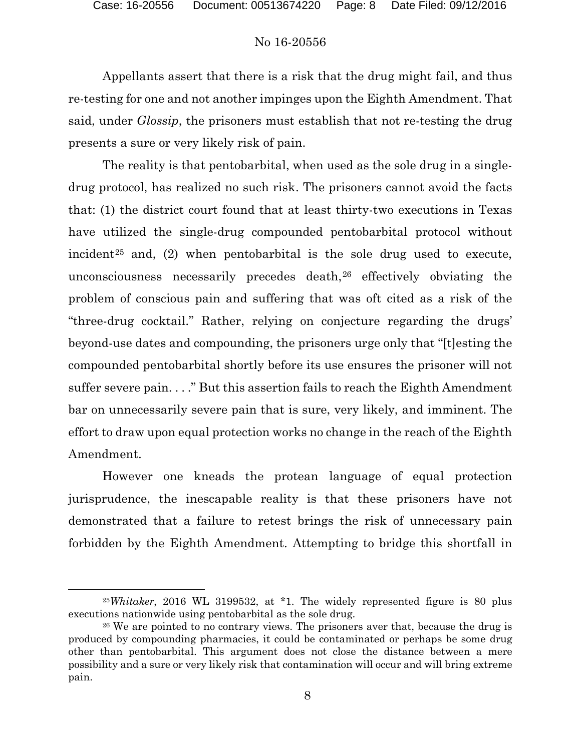Appellants assert that there is a risk that the drug might fail, and thus re-testing for one and not another impinges upon the Eighth Amendment. That said, under *Glossip*, the prisoners must establish that not re-testing the drug presents a sure or very likely risk of pain.

The reality is that pentobarbital, when used as the sole drug in a singledrug protocol, has realized no such risk. The prisoners cannot avoid the facts that: (1) the district court found that at least thirty-two executions in Texas have utilized the single-drug compounded pentobarbital protocol without incident<sup>[25](#page-7-0)</sup> and, (2) when pentobarbital is the sole drug used to execute, unconsciousness necessarily precedes death,<sup>[26](#page-7-1)</sup> effectively obviating the problem of conscious pain and suffering that was oft cited as a risk of the "three-drug cocktail." Rather, relying on conjecture regarding the drugs' beyond-use dates and compounding, the prisoners urge only that "[t]esting the compounded pentobarbital shortly before its use ensures the prisoner will not suffer severe pain. . . ." But this assertion fails to reach the Eighth Amendment bar on unnecessarily severe pain that is sure, very likely, and imminent. The effort to draw upon equal protection works no change in the reach of the Eighth Amendment.

However one kneads the protean language of equal protection jurisprudence, the inescapable reality is that these prisoners have not demonstrated that a failure to retest brings the risk of unnecessary pain forbidden by the Eighth Amendment. Attempting to bridge this shortfall in

<span id="page-7-0"></span> <sup>25</sup>*Whitaker*, 2016 WL 3199532, at \*1. The widely represented figure is 80 plus executions nationwide using pentobarbital as the sole drug.

<span id="page-7-1"></span><sup>&</sup>lt;sup>26</sup> We are pointed to no contrary views. The prisoners aver that, because the drug is produced by compounding pharmacies, it could be contaminated or perhaps be some drug other than pentobarbital. This argument does not close the distance between a mere possibility and a sure or very likely risk that contamination will occur and will bring extreme pain.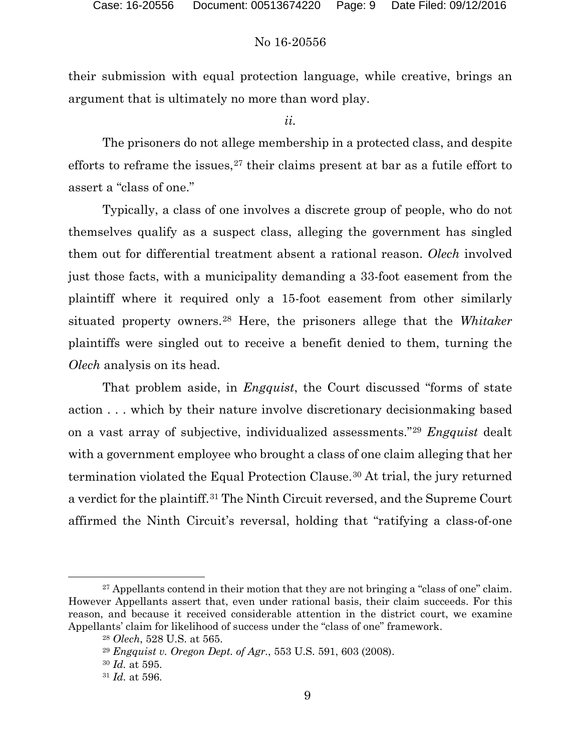their submission with equal protection language, while creative, brings an argument that is ultimately no more than word play.

*ii.*

The prisoners do not allege membership in a protected class, and despite efforts to reframe the issues,<sup>[27](#page-8-0)</sup> their claims present at bar as a futile effort to assert a "class of one."

Typically, a class of one involves a discrete group of people, who do not themselves qualify as a suspect class, alleging the government has singled them out for differential treatment absent a rational reason. *Olech* involved just those facts, with a municipality demanding a 33-foot easement from the plaintiff where it required only a 15-foot easement from other similarly situated property owners.[28](#page-8-1) Here, the prisoners allege that the *Whitaker* plaintiffs were singled out to receive a benefit denied to them, turning the *Olech* analysis on its head.

That problem aside, in *Engquist*, the Court discussed "forms of state action . . . which by their nature involve discretionary decisionmaking based on a vast array of subjective, individualized assessments."[29](#page-8-2) *Engquist* dealt with a government employee who brought a class of one claim alleging that her termination violated the Equal Protection Clause.[30](#page-8-3) At trial, the jury returned a verdict for the plaintiff.[31](#page-8-4) The Ninth Circuit reversed, and the Supreme Court affirmed the Ninth Circuit's reversal, holding that "ratifying a class-of-one

<span id="page-8-3"></span><span id="page-8-2"></span><span id="page-8-1"></span><span id="page-8-0"></span><sup>&</sup>lt;sup>27</sup> Appellants contend in their motion that they are not bringing a "class of one" claim. However Appellants assert that, even under rational basis, their claim succeeds. For this reason, and because it received considerable attention in the district court, we examine Appellants' claim for likelihood of success under the "class of one" framework.

<sup>28</sup> *Olech*, 528 U.S. at 565.

<sup>29</sup> *Engquist v. Oregon Dept. of Agr.*, 553 U.S. 591, 603 (2008).

<sup>30</sup> *Id.* at 595.

<span id="page-8-4"></span><sup>31</sup> *Id.* at 596.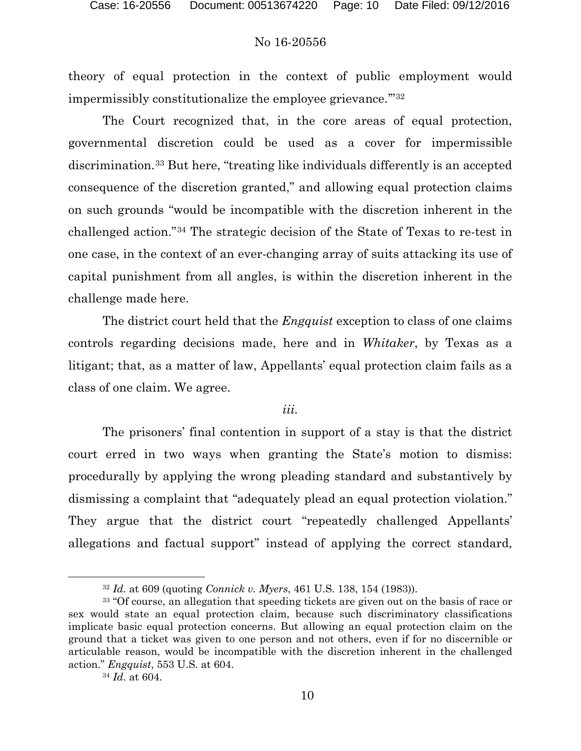theory of equal protection in the context of public employment would impermissibly constitutionalize the employee grievance.'"[32](#page-9-0)

The Court recognized that, in the core areas of equal protection, governmental discretion could be used as a cover for impermissible discrimination.[33](#page-9-1) But here, "treating like individuals differently is an accepted consequence of the discretion granted," and allowing equal protection claims on such grounds "would be incompatible with the discretion inherent in the challenged action."[34](#page-9-2) The strategic decision of the State of Texas to re-test in one case, in the context of an ever-changing array of suits attacking its use of capital punishment from all angles, is within the discretion inherent in the challenge made here.

The district court held that the *Engquist* exception to class of one claims controls regarding decisions made, here and in *Whitaker*, by Texas as a litigant; that, as a matter of law, Appellants' equal protection claim fails as a class of one claim. We agree.

#### *iii.*

The prisoners' final contention in support of a stay is that the district court erred in two ways when granting the State's motion to dismiss: procedurally by applying the wrong pleading standard and substantively by dismissing a complaint that "adequately plead an equal protection violation." They argue that the district court "repeatedly challenged Appellants' allegations and factual support" instead of applying the correct standard,

 <sup>32</sup> *Id.* at 609 (quoting *Connick v. Myers*, 461 U.S. 138, 154 (1983)).

<span id="page-9-2"></span><span id="page-9-1"></span><span id="page-9-0"></span><sup>33</sup> "Of course, an allegation that speeding tickets are given out on the basis of race or sex would state an equal protection claim, because such discriminatory classifications implicate basic equal protection concerns. But allowing an equal protection claim on the ground that a ticket was given to one person and not others, even if for no discernible or articulable reason, would be incompatible with the discretion inherent in the challenged action." *Engquist*, 553 U.S. at 604.

<sup>34</sup> *Id.* at 604.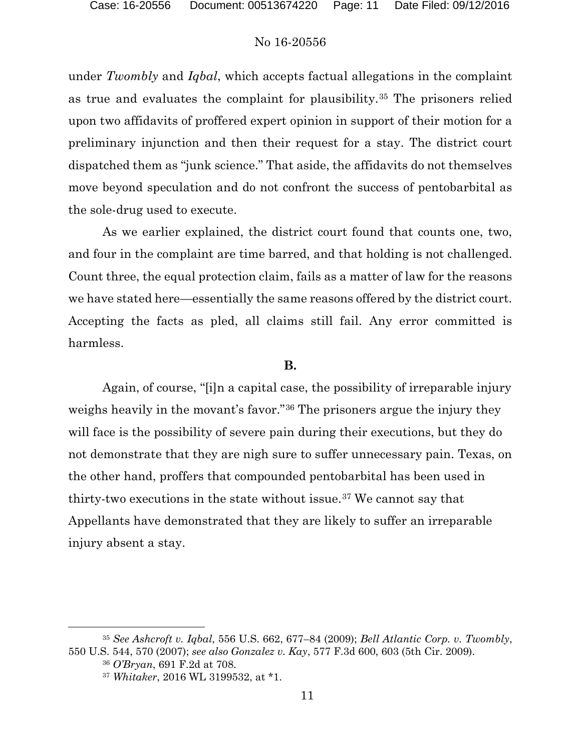under *Twombly* and *Iqbal*, which accepts factual allegations in the complaint as true and evaluates the complaint for plausibility.[35](#page-10-0) The prisoners relied upon two affidavits of proffered expert opinion in support of their motion for a preliminary injunction and then their request for a stay. The district court dispatched them as "junk science." That aside, the affidavits do not themselves move beyond speculation and do not confront the success of pentobarbital as the sole-drug used to execute.

As we earlier explained, the district court found that counts one, two, and four in the complaint are time barred, and that holding is not challenged. Count three, the equal protection claim, fails as a matter of law for the reasons we have stated here—essentially the same reasons offered by the district court. Accepting the facts as pled, all claims still fail. Any error committed is harmless.

### **B.**

Again, of course, "[i]n a capital case, the possibility of irreparable injury weighs heavily in the movant's favor."[36](#page-10-1) The prisoners argue the injury they will face is the possibility of severe pain during their executions, but they do not demonstrate that they are nigh sure to suffer unnecessary pain. Texas, on the other hand, proffers that compounded pentobarbital has been used in thirty-two executions in the state without issue.[37](#page-10-2) We cannot say that Appellants have demonstrated that they are likely to suffer an irreparable injury absent a stay.

<span id="page-10-2"></span><span id="page-10-1"></span><span id="page-10-0"></span> <sup>35</sup> *See Ashcroft v. Iqbal*, 556 U.S. 662, 677–84 (2009); *Bell Atlantic Corp. v. Twombly*, 550 U.S. 544, 570 (2007); *see also Gonzalez v. Kay*, 577 F.3d 600, 603 (5th Cir. 2009).

<sup>36</sup> *O'Bryan*, 691 F.2d at 708.

<sup>37</sup> *Whitaker*, 2016 WL 3199532, at \*1.